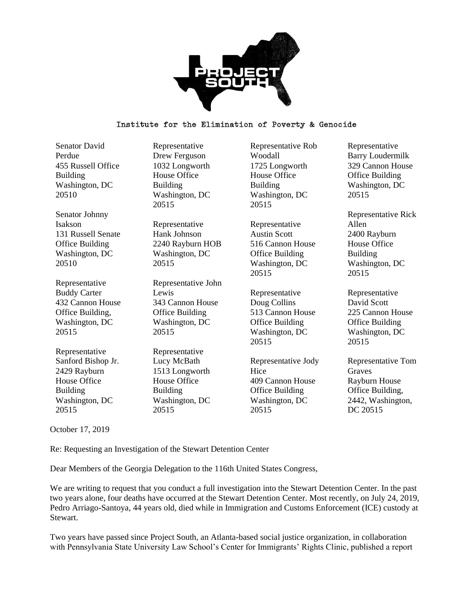

Senator David Perdue 455 Russell Office Building Washington, DC 20510

Senator Johnny Isakson 131 Russell Senate Office Building Washington, DC 20510

Representative Buddy Carter 432 Cannon House Office Building, Washington, DC 20515

Representative Sanford Bishop Jr. 2429 Rayburn House Office Building Washington, DC 20515

Representative Drew Ferguson 1032 Longworth House Office Building Washington, DC 20515

Representative Hank Johnson 2240 Rayburn HOB Washington, DC 20515

Representative John Lewis 343 Cannon House Office Building Washington, DC 20515

Representative Lucy McBath 1513 Longworth House Office Building Washington, DC 20515

Representative Rob Woodall 1725 Longworth House Office Building Washington, DC 20515

Representative Austin Scott 516 Cannon House Office Building Washington, DC 20515

Representative Doug Collins 513 Cannon House Office Building Washington, DC 20515

Representative Jody Hice 409 Cannon House Office Building Washington, DC 20515

Representative Barry Loudermilk 329 Cannon House Office Building Washington, DC 20515

Representative Rick Allen 2400 Rayburn House Office Building Washington, DC 20515

Representative David Scott 225 Cannon House Office Building Washington, DC 20515

Representative Tom Graves Rayburn House Office Building, 2442, Washington, DC 20515

October 17, 2019

Re: Requesting an Investigation of the Stewart Detention Center

Dear Members of the Georgia Delegation to the 116th United States Congress,

We are writing to request that you conduct a full investigation into the Stewart Detention Center. In the past two years alone, four deaths have occurred at the Stewart Detention Center. Most recently, on July 24, 2019, Pedro Arriago-Santoya, 44 years old, died while in Immigration and Customs Enforcement (ICE) custody at Stewart.

Two years have passed since Project South, an Atlanta-based social justice organization, in collaboration with Pennsylvania State University Law School's Center for Immigrants' Rights Clinic, published a report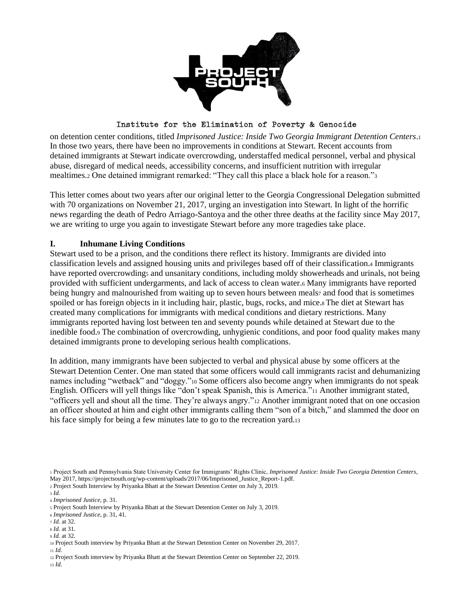

on detention center conditions, titled *Imprisoned Justice: Inside Two Georgia Immigrant Detention Centers*.<sup>1</sup> In those two years, there have been no improvements in conditions at Stewart. Recent accounts from detained immigrants at Stewart indicate overcrowding, understaffed medical personnel, verbal and physical abuse, disregard of medical needs, accessibility concerns, and insufficient nutrition with irregular mealtimes.<sup>2</sup> One detained immigrant remarked: "They call this place a black hole for a reason."<sup>3</sup>

This letter comes about two years after our original letter to the Georgia Congressional Delegation submitted with 70 organizations on November 21, 2017, urging an investigation into Stewart. In light of the horrific news regarding the death of Pedro Arriago-Santoya and the other three deaths at the facility since May 2017, we are writing to urge you again to investigate Stewart before any more tragedies take place.

#### **I. Inhumane Living Conditions**

Stewart used to be a prison, and the conditions there reflect its history. Immigrants are divided into classification levels and assigned housing units and privileges based off of their classification.<sup>4</sup> Immigrants have reported overcrowdings and unsanitary conditions, including moldy showerheads and urinals, not being provided with sufficient undergarments, and lack of access to clean water.<sup>6</sup> Many immigrants have reported being hungry and malnourished from waiting up to seven hours between meals<sub>7</sub> and food that is sometimes spoiled or has foreign objects in it including hair, plastic, bugs, rocks, and mice.<sup>8</sup> The diet at Stewart has created many complications for immigrants with medical conditions and dietary restrictions. Many immigrants reported having lost between ten and seventy pounds while detained at Stewart due to the inedible food.<sup>9</sup> The combination of overcrowding, unhygienic conditions, and poor food quality makes many detained immigrants prone to developing serious health complications.

In addition, many immigrants have been subjected to verbal and physical abuse by some officers at the Stewart Detention Center. One man stated that some officers would call immigrants racist and dehumanizing names including "wetback" and "doggy."<sup>10</sup> Some officers also become angry when immigrants do not speak English. Officers will yell things like "don't speak Spanish, this is America."<sup>11</sup> Another immigrant stated, "officers yell and shout all the time. They're always angry."<sup>12</sup> Another immigrant noted that on one occasion an officer shouted at him and eight other immigrants calling them "son of a bitch," and slammed the door on his face simply for being a few minutes late to go to the recreation yard.<sup>13</sup>

<sup>3</sup> *Id.*

<sup>9</sup> *Id.* at 32.

<sup>1</sup> Project South and Pennsylvania State University Center for Immigrants' Rights Clinic, *Imprisoned Justice: Inside Two Georgia Detention Centers*, May 2017[, https://projectsouth.org/wp-content/uploads/2017/06/Imprisoned\\_Justice\\_Report-1.pdf.](https://projectsouth.org/wp-content/uploads/2017/06/Imprisoned_Justice_Report-1.pdf)

<sup>2</sup> Project South Interview by Priyanka Bhatt at the Stewart Detention Center on July 3, 2019.

<sup>4</sup> *Imprisoned Justice,* p. 31.

<sup>5</sup> Project South Interview by Priyanka Bhatt at the Stewart Detention Center on July 3, 2019.

<sup>6</sup> *Imprisoned Justice*, p. 31, 41.

<sup>7</sup> *Id.* at 32.

<sup>8</sup> *Id.* at 31.

<sup>10</sup> Project South interview by Priyanka Bhatt at the Stewart Detention Center on November 29, 2017.

<sup>11</sup> *Id*.

<sup>12</sup> Project South interview by Priyanka Bhatt at the Stewart Detention Center on September 22, 2019. <sup>13</sup> *Id*.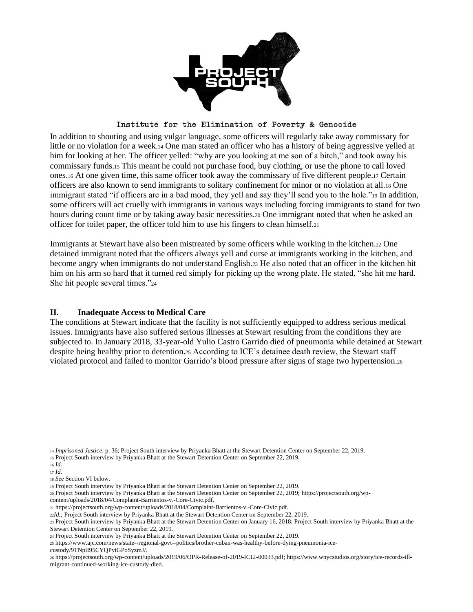

In addition to shouting and using vulgar language, some officers will regularly take away commissary for little or no violation for a week.<sup>14</sup> One man stated an officer who has a history of being aggressive yelled at him for looking at her. The officer yelled: "why are you looking at me son of a bitch," and took away his commissary funds.<sup>15</sup> This meant he could not purchase food, buy clothing, or use the phone to call loved ones.<sup>16</sup> At one given time, this same officer took away the commissary of five different people.<sup>17</sup> Certain officers are also known to send immigrants to solitary confinement for minor or no violation at all.<sup>18</sup> One immigrant stated "if officers are in a bad mood, they yell and say they'll send you to the hole."<sup>19</sup> In addition, some officers will act cruelly with immigrants in various ways including forcing immigrants to stand for two hours during count time or by taking away basic necessities.<sup>20</sup> One immigrant noted that when he asked an officer for toilet paper, the officer told him to use his fingers to clean himself.<sup>21</sup>

Immigrants at Stewart have also been mistreated by some officers while working in the kitchen.<sup>22</sup> One detained immigrant noted that the officers always yell and curse at immigrants working in the kitchen, and become angry when immigrants do not understand English.<sup>23</sup> He also noted that an officer in the kitchen hit him on his arm so hard that it turned red simply for picking up the wrong plate. He stated, "she hit me hard. She hit people several times."<sup>24</sup>

## **II. Inadequate Access to Medical Care**

The conditions at Stewart indicate that the facility is not sufficiently equipped to address serious medical issues. Immigrants have also suffered serious illnesses at Stewart resulting from the conditions they are subjected to. In January 2018, 33-year-old Yulio Castro Garrido died of pneumonia while detained at Stewart despite being healthy prior to detention.<sup>25</sup> According to ICE's detainee death review, the Stewart staff violated protocol and failed to monitor Garrido's blood pressure after signs of stage two hypertension.<sup>26</sup>

- <sup>20</sup> Project South interview by Priyanka Bhatt at the Stewart Detention Center on September 22, 2019; [https://projectsouth.org/wp-](https://projectsouth.org/wp-content/uploads/2018/04/Complaint-Barrientos-v.-Core-Civic.pdf)
- [content/uploads/2018/04/Complaint-Barrientos-v.-Core-Civic.pdf.](https://projectsouth.org/wp-content/uploads/2018/04/Complaint-Barrientos-v.-Core-Civic.pdf)
- <sup>21</sup> [https://projectsouth.org/wp-content/uploads/2018/04/Complaint-Barrientos-v.-Core-Civic.pdf.](https://projectsouth.org/wp-content/uploads/2018/04/Complaint-Barrientos-v.-Core-Civic.pdf)

<sup>14</sup> *Imprisoned Justice,* p. 36; Project South interview by Priyanka Bhatt at the Stewart Detention Center on September 22, 2019.

<sup>15</sup> Project South interview by Priyanka Bhatt at the Stewart Detention Center on September 22, 2019.

<sup>16</sup> *Id*.

<sup>17</sup> *Id*.

<sup>18</sup> *See* Section VI below.

<sup>19</sup> Project South interview by Priyanka Bhatt at the Stewart Detention Center on September 22, 2019.

<sup>22</sup>*Id.;* Project South interview by Priyanka Bhatt at the Stewart Detention Center on September 22, 2019.

<sup>23</sup> Project South interview by Priyanka Bhatt at the Stewart Detention Center on January 16, 2018; Project South interview by Priyanka Bhatt at the Stewart Detention Center on September 22, 2019.

<sup>24</sup> Project South interview by Priyanka Bhatt at the Stewart Detention Center on September 22, 2019.

<sup>25</sup> https://www.ajc.com/news/state--regional-govt--politics/brother-cuban-was-healthy-before-dying-pneumonia-ice-

custody/9TNpiI95CYQPyiGPoSyzmJ/.

<sup>26</sup> [https://projectsouth.org/wp-content/uploads/2019/06/OPR-Release-of-2019-ICLI-00033.pdf;](https://projectsouth.org/wp-content/uploads/2019/06/OPR-Release-of-2019-ICLI-00033.pdf) https://www.wnycstudios.org/story/ice-records-illmigrant-continued-working-ice-custody-died.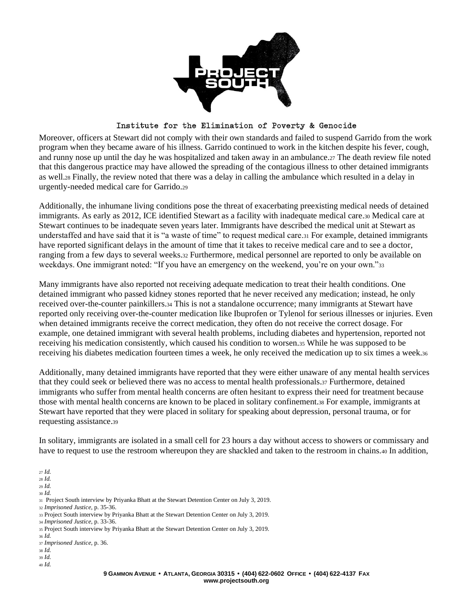

Moreover, officers at Stewart did not comply with their own standards and failed to suspend Garrido from the work program when they became aware of his illness. Garrido continued to work in the kitchen despite his fever, cough, and runny nose up until the day he was hospitalized and taken away in an ambulance.<sup>27</sup> The death review file noted that this dangerous practice may have allowed the spreading of the contagious illness to other detained immigrants as well.<sup>28</sup> Finally, the review noted that there was a delay in calling the ambulance which resulted in a delay in urgently-needed medical care for Garrido.<sup>29</sup>

Additionally, the inhumane living conditions pose the threat of exacerbating preexisting medical needs of detained immigrants. As early as 2012, ICE identified Stewart as a facility with inadequate medical care.<sup>30</sup> Medical care at Stewart continues to be inadequate seven years later. Immigrants have described the medical unit at Stewart as understaffed and have said that it is "a waste of time" to request medical care.<sup>31</sup> For example, detained immigrants have reported significant delays in the amount of time that it takes to receive medical care and to see a doctor, ranging from a few days to several weeks.<sup>32</sup> Furthermore, medical personnel are reported to only be available on weekdays. One immigrant noted: "If you have an emergency on the weekend, you're on your own."33

Many immigrants have also reported not receiving adequate medication to treat their health conditions. One detained immigrant who passed kidney stones reported that he never received any medication; instead, he only received over-the-counter painkillers.<sup>34</sup> This is not a standalone occurrence; many immigrants at Stewart have reported only receiving over-the-counter medication like Ibuprofen or Tylenol for serious illnesses or injuries. Even when detained immigrants receive the correct medication, they often do not receive the correct dosage. For example, one detained immigrant with several health problems, including diabetes and hypertension, reported not receiving his medication consistently, which caused his condition to worsen.<sup>35</sup> While he was supposed to be receiving his diabetes medication fourteen times a week, he only received the medication up to six times a week.<sup>36</sup>

Additionally, many detained immigrants have reported that they were either unaware of any mental health services that they could seek or believed there was no access to mental health professionals.<sup>37</sup> Furthermore, detained immigrants who suffer from mental health concerns are often hesitant to express their need for treatment because those with mental health concerns are known to be placed in solitary confinement.<sup>38</sup> For example, immigrants at Stewart have reported that they were placed in solitary for speaking about depression, personal trauma, or for requesting assistance.<sup>39</sup>

In solitary, immigrants are isolated in a small cell for 23 hours a day without access to showers or commissary and have to request to use the restroom whereupon they are shackled and taken to the restroom in chains.<sup>40</sup> In addition,

<sup>27</sup> *Id.*

<sup>28</sup> *Id.*

<sup>29</sup> *Id.*

<sup>30</sup> *Id.*

<sup>31</sup> Project South interview by Priyanka Bhatt at the Stewart Detention Center on July 3, 2019.

<sup>32</sup> *Imprisoned Justice,* p. 35-36.

- <sup>33</sup> Project South interview by Priyanka Bhatt at the Stewart Detention Center on July 3, 2019.
- <sup>34</sup> *Imprisoned Justice,* p. 33-36.
- <sup>35</sup> Project South interview by Priyanka Bhatt at the Stewart Detention Center on July 3, 2019.

- <sup>38</sup> *Id.*
- <sup>39</sup> *Id.*
- <sup>40</sup> *Id.*

<sup>37</sup> *Imprisoned Justice,* p. 36.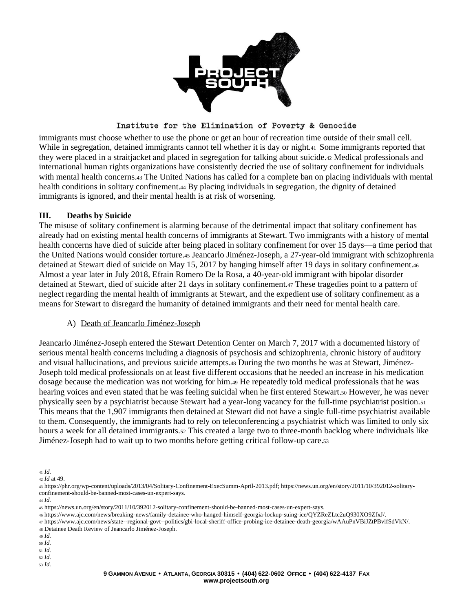

immigrants must choose whether to use the phone or get an hour of recreation time outside of their small cell. While in segregation, detained immigrants cannot tell whether it is day or night.41 Some immigrants reported that they were placed in a straitjacket and placed in segregation for talking about suicide.<sup>42</sup> Medical professionals and international human rights organizations have consistently decried the use of solitary confinement for individuals with mental health concerns.<sub>43</sub> The United Nations has called for a complete ban on placing individuals with mental health conditions in solitary confinement.<sup>44</sup> By placing individuals in segregation, the dignity of detained immigrants is ignored, and their mental health is at risk of worsening.

## **III. Deaths by Suicide**

The misuse of solitary confinement is alarming because of the detrimental impact that solitary confinement has already had on existing mental health concerns of immigrants at Stewart. Two immigrants with a history of mental health concerns have died of suicide after being placed in solitary confinement for over 15 days—a time period that the United Nations would consider torture.<sup>45</sup> Jeancarlo Jiménez-Joseph, a 27-year-old immigrant with schizophrenia detained at Stewart died of suicide on May 15, 2017 by hanging himself after 19 days in solitary confinement.<sup>46</sup> Almost a year later in July 2018, Efrain Romero De la Rosa, a 40-year-old immigrant with bipolar disorder detained at Stewart, died of suicide after 21 days in solitary confinement.<sup>47</sup> These tragedies point to a pattern of neglect regarding the mental health of immigrants at Stewart, and the expedient use of solitary confinement as a means for Stewart to disregard the humanity of detained immigrants and their need for mental health care.

## A) Death of Jeancarlo Jiménez-Joseph

Jeancarlo Jiménez-Joseph entered the Stewart Detention Center on March 7, 2017 with a documented history of serious mental health concerns including a diagnosis of psychosis and schizophrenia, chronic history of auditory and visual hallucinations, and previous suicide attempts.<sup>48</sup> During the two months he was at Stewart, Jiménez-Joseph told medical professionals on at least five different occasions that he needed an increase in his medication dosage because the medication was not working for him.<sup>49</sup> He repeatedly told medical professionals that he was hearing voices and even stated that he was feeling suicidal when he first entered Stewart.<sup>50</sup> However, he was never physically seen by a psychiatrist because Stewart had a year-long vacancy for the full-time psychiatrist position.<sup>51</sup> This means that the 1,907 immigrants then detained at Stewart did not have a single full-time psychiatrist available to them. Consequently, the immigrants had to rely on teleconferencing a psychiatrist which was limited to only six hours a week for all detained immigrants.<sup>52</sup> This created a large two to three-month backlog where individuals like Jiménez-Joseph had to wait up to two months before getting critical follow-up care.<sup>53</sup>

- <sup>49</sup> *Id.*
- <sup>50</sup> *Id.*
- <sup>51</sup> *Id.*
- <sup>52</sup> *Id.* <sup>53</sup> *Id.*

<sup>41</sup> *Id.*

<sup>42</sup> *Id* at 49.

<sup>43</sup> [https://phr.org/wp-content/uploads/2013/04/Solitary-Confinement-ExecSumm-April-2013.pdf;](https://phr.org/wp-content/uploads/2013/04/Solitary-Confinement-ExecSumm-April-2013.pdf) [https://news.un.org/en/story/2011/10/392012-solitary](https://news.un.org/en/story/2011/10/392012-solitary-confinement-should-be-banned-most-cases-un-expert-says)[confinement-should-be-banned-most-cases-un-expert-says.](https://news.un.org/en/story/2011/10/392012-solitary-confinement-should-be-banned-most-cases-un-expert-says)

<sup>45</sup> https://news.un.org/en/story/2011/10/392012-solitary-confinement-should-be-banned-most-cases-un-expert-says.

<sup>46</sup> https://www.ajc.com/news/breaking-news/family-detainee-who-hanged-himself-georgia-lockup-suing-ice/QYZReZLtc2uQ930XO9ZfxJ/.

<sup>47</sup> https://www.ajc.com/news/state--regional-govt--politics/gbi-local-sheriff-office-probing-ice-detainee-death-georgia/wAAuPnVBiJZtPBvlfSdVkN/.

<sup>48</sup> Detainee Death Review of Jeancarlo Jiménez-Joseph.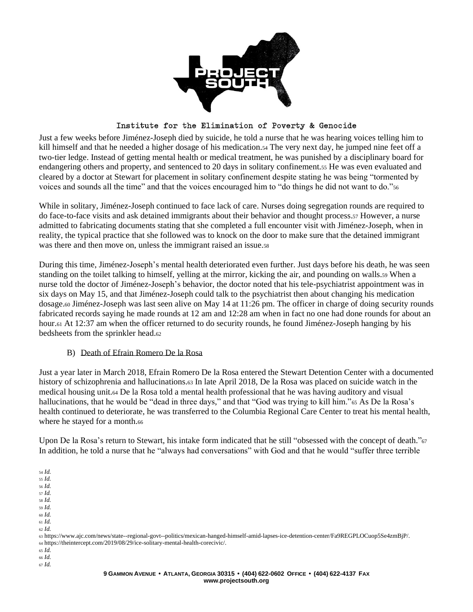

Just a few weeks before Jiménez-Joseph died by suicide, he told a nurse that he was hearing voices telling him to kill himself and that he needed a higher dosage of his medication.<sup>54</sup> The very next day, he jumped nine feet off a two-tier ledge. Instead of getting mental health or medical treatment, he was punished by a disciplinary board for endangering others and property, and sentenced to 20 days in solitary confinement.<sup>55</sup> He was even evaluated and cleared by a doctor at Stewart for placement in solitary confinement despite stating he was being "tormented by voices and sounds all the time" and that the voices encouraged him to "do things he did not want to do."<sup>56</sup>

While in solitary, Jiménez-Joseph continued to face lack of care. Nurses doing segregation rounds are required to do face-to-face visits and ask detained immigrants about their behavior and thought process.<sup>57</sup> However, a nurse admitted to fabricating documents stating that she completed a full encounter visit with Jiménez-Joseph, when in reality, the typical practice that she followed was to knock on the door to make sure that the detained immigrant was there and then move on, unless the immigrant raised an issue.<sup>58</sup>

During this time, Jiménez-Joseph's mental health deteriorated even further. Just days before his death, he was seen standing on the toilet talking to himself, yelling at the mirror, kicking the air, and pounding on walls.<sup>59</sup> When a nurse told the doctor of Jiménez-Joseph's behavior, the doctor noted that his tele-psychiatrist appointment was in six days on May 15, and that Jiménez-Joseph could talk to the psychiatrist then about changing his medication dosage.<sup>60</sup> Jiménez-Joseph was last seen alive on May 14 at 11:26 pm. The officer in charge of doing security rounds fabricated records saying he made rounds at 12 am and 12:28 am when in fact no one had done rounds for about an hour.<sup>61</sup> At 12:37 am when the officer returned to do security rounds, he found Jiménez-Joseph hanging by his bedsheets from the sprinkler head.<sup>62</sup>

## B) Death of Efrain Romero De la Rosa

Just a year later in March 2018, Efrain Romero De la Rosa entered the Stewart Detention Center with a documented history of schizophrenia and hallucinations.63 In late April 2018, De la Rosa was placed on suicide watch in the medical housing unit.<sup>64</sup> De la Rosa told a mental health professional that he was having auditory and visual hallucinations, that he would be "dead in three days," and that "God was trying to kill him."<sup>65</sup> As De la Rosa's health continued to deteriorate, he was transferred to the Columbia Regional Care Center to treat his mental health, where he stayed for a month.66

Upon De la Rosa's return to Stewart, his intake form indicated that he still "obsessed with the concept of death."<sup>67</sup> In addition, he told a nurse that he "always had conversations" with God and that he would "suffer three terrible

<sup>54</sup> *Id.* <sup>55</sup> *Id.*

<sup>56</sup> *Id.*

<sup>57</sup> *Id.*

<sup>58</sup> *Id.*

<sup>59</sup> *Id.*

<sup>60</sup> *Id.*

<sup>61</sup> *Id.*

<sup>62</sup> *Id.*

<sup>63</sup> https://www.ajc.com/news/state--regional-govt--politics/mexican-hanged-himself-amid-lapses-ice-detention-center/Fa9REGPLOCuop5Se4zmBjP/. <sup>64</sup> https://theintercept.com/2019/08/29/ice-solitary-mental-health-corecivic/.

<sup>65</sup> *Id.*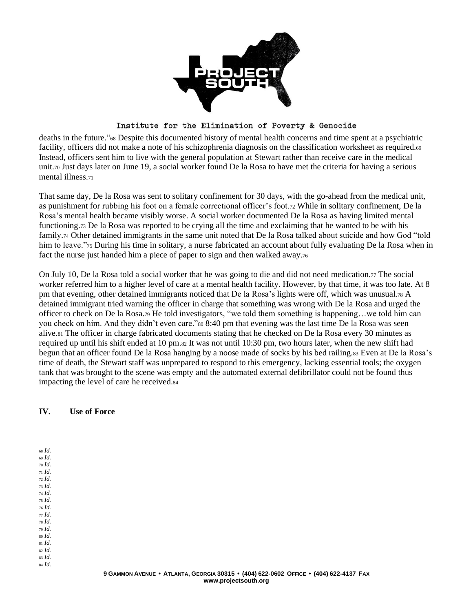

deaths in the future."<sup>68</sup> Despite this documented history of mental health concerns and time spent at a psychiatric facility, officers did not make a note of his schizophrenia diagnosis on the classification worksheet as required.<sup>69</sup> Instead, officers sent him to live with the general population at Stewart rather than receive care in the medical unit.<sup>70</sup> Just days later on June 19, a social worker found De la Rosa to have met the criteria for having a serious mental illness.<sup>71</sup>

That same day, De la Rosa was sent to solitary confinement for 30 days, with the go-ahead from the medical unit, as punishment for rubbing his foot on a female correctional officer's foot.<sup>72</sup> While in solitary confinement, De la Rosa's mental health became visibly worse. A social worker documented De la Rosa as having limited mental functioning.<sup>73</sup> De la Rosa was reported to be crying all the time and exclaiming that he wanted to be with his family.<sup>74</sup> Other detained immigrants in the same unit noted that De la Rosa talked about suicide and how God "told him to leave."<sup>75</sup> During his time in solitary, a nurse fabricated an account about fully evaluating De la Rosa when in fact the nurse just handed him a piece of paper to sign and then walked away.<sup>76</sup>

On July 10, De la Rosa told a social worker that he was going to die and did not need medication.<sup>77</sup> The social worker referred him to a higher level of care at a mental health facility. However, by that time, it was too late. At 8 pm that evening, other detained immigrants noticed that De la Rosa's lights were off, which was unusual.<sup>78</sup> A detained immigrant tried warning the officer in charge that something was wrong with De la Rosa and urged the officer to check on De la Rosa.<sup>79</sup> He told investigators, "we told them something is happening…we told him can you check on him. And they didn't even care."<sup>80</sup> 8:40 pm that evening was the last time De la Rosa was seen alive.<sup>81</sup> The officer in charge fabricated documents stating that he checked on De la Rosa every 30 minutes as required up until his shift ended at 10 pm.<sup>82</sup> It was not until 10:30 pm, two hours later, when the new shift had begun that an officer found De la Rosa hanging by a noose made of socks by his bed railing.<sup>83</sup> Even at De la Rosa's time of death, the Stewart staff was unprepared to respond to this emergency, lacking essential tools; the oxygen tank that was brought to the scene was empty and the automated external defibrillator could not be found thus impacting the level of care he received.<sup>84</sup>

## **IV. Use of Force**

<sup>68</sup> *Id.* <sup>69</sup> *Id.* <sup>70</sup> *Id.* <sup>71</sup> *Id.* <sup>72</sup> *Id.* <sup>73</sup> *Id.* <sup>74</sup> *Id.* <sup>75</sup> *Id.* <sup>76</sup> *Id.* <sup>77</sup> *Id.* <sup>78</sup> *Id.*

<sup>79</sup> *Id.* <sup>80</sup> *Id.*

<sup>81</sup> *Id.*

<sup>82</sup> *Id.* <sup>83</sup> *Id.* <sup>84</sup> *Id.*

> 9 GAMMON AVENUE · ATLANTA, GEORGIA 30315 · (404) 622-0602 OFFICE · (404) 622-4137 FAX **www.projectsouth.org**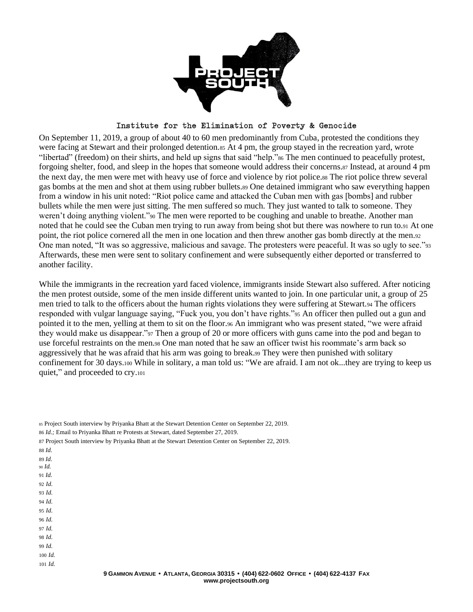

On September 11, 2019, a group of about 40 to 60 men predominantly from Cuba, protested the conditions they were facing at Stewart and their prolonged detention.ss At 4 pm, the group stayed in the recreation yard, wrote "libertad" (freedom) on their shirts, and held up signs that said "help."<sup>86</sup> The men continued to peacefully protest, forgoing shelter, food, and sleep in the hopes that someone would address their concerns.<sup>87</sup> Instead, at around 4 pm the next day, the men were met with heavy use of force and violence by riot police.<sup>88</sup> The riot police threw several gas bombs at the men and shot at them using rubber bullets.<sup>89</sup> One detained immigrant who saw everything happen from a window in his unit noted: "Riot police came and attacked the Cuban men with gas [bombs] and rubber bullets while the men were just sitting. The men suffered so much. They just wanted to talk to someone. They weren't doing anything violent."<sup>90</sup> The men were reported to be coughing and unable to breathe. Another man noted that he could see the Cuban men trying to run away from being shot but there was nowhere to run to.<sup>91</sup> At one point, the riot police cornered all the men in one location and then threw another gas bomb directly at the men.<sup>92</sup> One man noted, "It was so aggressive, malicious and savage. The protesters were peaceful. It was so ugly to see."<sup>93</sup> Afterwards, these men were sent to solitary confinement and were subsequently either deported or transferred to another facility.

While the immigrants in the recreation yard faced violence, immigrants inside Stewart also suffered. After noticing the men protest outside, some of the men inside different units wanted to join. In one particular unit, a group of 25 men tried to talk to the officers about the human rights violations they were suffering at Stewart.<sup>94</sup> The officers responded with vulgar language saying, "Fuck you, you don't have rights."<sup>95</sup> An officer then pulled out a gun and pointed it to the men, yelling at them to sit on the floor.<sup>96</sup> An immigrant who was present stated, "we were afraid they would make us disappear."<sup>97</sup> Then a group of 20 or more officers with guns came into the pod and began to use forceful restraints on the men.<sup>98</sup> One man noted that he saw an officer twist his roommate's arm back so aggressively that he was afraid that his arm was going to break.<sup>99</sup> They were then punished with solitary confinement for 30 days.<sup>100</sup> While in solitary, a man told us: "We are afraid. I am not ok...they are trying to keep us quiet," and proceeded to cry.<sup>101</sup>

- 88 *Id.*
- 89 *Id.*
- <sup>90</sup> *Id.* 91 *Id.*
- 92 *Id.*
- 93 *Id.*
- 94 *Id.*
- 95 *Id.*
- 96 *Id.*
- 97 *Id.*
- 98 *Id.*
- 99 *Id.* 100 *Id.* 101 *Id.*

<sup>85</sup> Project South interview by Priyanka Bhatt at the Stewart Detention Center on September 22, 2019.

<sup>86</sup> *Id.;* Email to Priyanka Bhatt re Protests at Stewart, dated September 27, 2019.

<sup>87</sup> Project South interview by Priyanka Bhatt at the Stewart Detention Center on September 22, 2019.

<sup>9</sup> GAMMON AVENUE · ATLANTA, GEORGIA 30315 · (404) 622-0602 OFFICE · (404) 622-4137 FAX **www.projectsouth.org**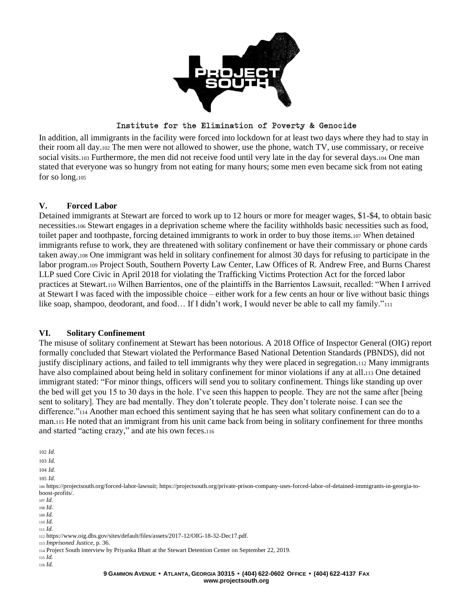

In addition, all immigrants in the facility were forced into lockdown for at least two days where they had to stay in their room all day.<sup>102</sup> The men were not allowed to shower, use the phone, watch TV, use commissary, or receive social visits.<sup>103</sup> Furthermore, the men did not receive food until very late in the day for several days.<sup>104</sup> One man stated that everyone was so hungry from not eating for many hours; some men even became sick from not eating for so long.<sup>105</sup>

## **V. Forced Labor**

Detained immigrants at Stewart are forced to work up to 12 hours or more for meager wages, \$1-\$4, to obtain basic necessities.<sup>106</sup> Stewart engages in a deprivation scheme where the facility withholds basic necessities such as food, toilet paper and toothpaste, forcing detained immigrants to work in order to buy those items.<sup>107</sup> When detained immigrants refuse to work, they are threatened with solitary confinement or have their commissary or phone cards taken away.<sup>108</sup> One immigrant was held in solitary confinement for almost 30 days for refusing to participate in the labor program.<sup>109</sup> Project South, Southern Poverty Law Center, Law Offices of R. Andrew Free, and Burns Charest LLP sued Core Civic in April 2018 for violating the Trafficking Victims Protection Act for the forced labor practices at Stewart.<sup>110</sup> Wilhen Barrientos, one of the plaintiffs in the Barrientos Lawsuit, recalled: "When I arrived at Stewart I was faced with the impossible choice – either work for a few cents an hour or live without basic things like soap, shampoo, deodorant, and food... If I didn't work, I would never be able to call my family."<sup>111</sup>

## **VI. Solitary Confinement**

The misuse of solitary confinement at Stewart has been notorious. A 2018 Office of Inspector General (OIG) report formally concluded that Stewart violated the Performance Based National Detention Standards (PBNDS), did not justify disciplinary actions, and failed to tell immigrants why they were placed in segregation.<sup>112</sup> Many immigrants have also complained about being held in solitary confinement for minor violations if any at all.<sup>113</sup> One detained immigrant stated: "For minor things, officers will send you to solitary confinement. Things like standing up over the bed will get you 15 to 30 days in the hole. I've seen this happen to people. They are not the same after [being sent to solitary]. They are bad mentally. They don't tolerate people. They don't tolerate noise. I can see the difference."<sup>114</sup> Another man echoed this sentiment saying that he has seen what solitary confinement can do to a man.<sup>115</sup> He noted that an immigrant from his unit came back from being in solitary confinement for three months and started "acting crazy," and ate his own feces.<sup>116</sup>

102 *Id.*

103 *Id.*

104 *Id.*

105 *Id.*

<sup>106</sup> [https://projectsouth.org/forced-labor-lawsuit;](https://projectsouth.org/forced-labor-lawsuit) https://projectsouth.org/private-prison-company-uses-forced-labor-of-detained-immigrants-in-georgia-toboost-profits/.

<sup>107</sup> *Id.*

<sup>108</sup> *Id.*

<sup>109</sup> *Id.*

<sup>110</sup> *Id.* <sup>111</sup> *Id.*

<sup>112</sup> [https://www.oig.dhs.gov/sites/default/files/assets/2017-12/OIG-18-32-Dec17.pdf.](https://www.oig.dhs.gov/sites/default/files/assets/2017-12/OIG-18-32-Dec17.pdf)

<sup>113</sup> *Imprisoned Justice,* p. 36.

<sup>114</sup> Project South interview by Priyanka Bhatt at the Stewart Detention Center on September 22, 2019.

<sup>115</sup> *Id.*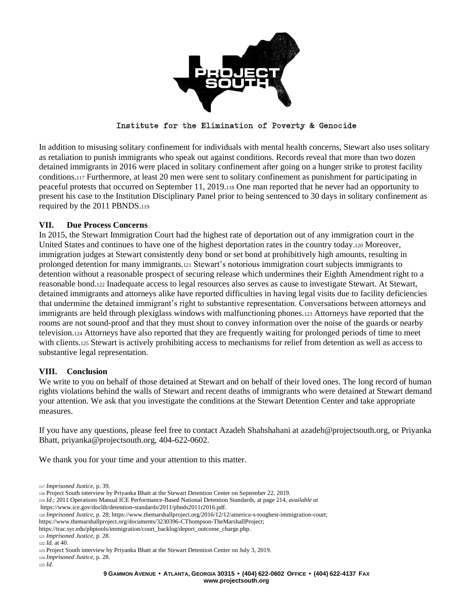

In addition to misusing solitary confinement for individuals with mental health concerns, Stewart also uses solitary as retaliation to punish immigrants who speak out against conditions. Records reveal that more than two dozen detained immigrants in 2016 were placed in solitary confinement after going on a hunger strike to protest facility conditions.<sup>117</sup> Furthermore, at least 20 men were sent to solitary confinement as punishment for participating in peaceful protests that occurred on September 11, 2019.<sup>118</sup> One man reported that he never had an opportunity to present his case to the Institution Disciplinary Panel prior to being sentenced to 30 days in solitary confinement as required by the 2011 PBNDS.<sup>119</sup>

## **VII. Due Process Concerns**

In 2015, the Stewart Immigration Court had the highest rate of deportation out of any immigration court in the United States and continues to have one of the highest deportation rates in the country today.<sup>120</sup> Moreover, immigration judges at Stewart consistently deny bond or set bond at prohibitively high amounts, resulting in prolonged detention for many immigrants.<sup>121</sup> Stewart's notorious immigration court subjects immigrants to detention without a reasonable prospect of securing release which undermines their Eighth Amendment right to a reasonable bond.<sup>122</sup> Inadequate access to legal resources also serves as cause to investigate Stewart. At Stewart, detained immigrants and attorneys alike have reported difficulties in having legal visits due to facility deficiencies that undermine the detained immigrant's right to substantive representation. Conversations between attorneys and immigrants are held through plexiglass windows with malfunctioning phones.<sup>123</sup> Attorneys have reported that the rooms are not sound-proof and that they must shout to convey information over the noise of the guards or nearby television.<sup>124</sup> Attorneys have also reported that they are frequently waiting for prolonged periods of time to meet with clients.<sub>125</sub> Stewart is actively prohibiting access to mechanisms for relief from detention as well as access to substantive legal representation.

## **VIII. Conclusion**

We write to you on behalf of those detained at Stewart and on behalf of their loved ones. The long record of human rights violations behind the walls of Stewart and recent deaths of immigrants who were detained at Stewart demand your attention. We ask that you investigate the conditions at the Stewart Detention Center and take appropriate measures.

If you have any questions, please feel free to contact Azadeh Shahshahani at [azadeh@projectsouth.org,](mailto:azadeh@projectsouth.org) or Priyanka Bhatt, priyanka@projectsouth.org, 404-622-0602.

We thank you for your time and your attention to this matter.

<sup>117</sup> *Imprisoned Justice,* p. 39.

- <sup>118</sup> Project South interview by Priyanka Bhatt at the Stewart Detention Center on September 22, 2019.
- <sup>119</sup> *Id*.; 2011 Operations Manual ICE Performance-Based National Detention Standards, at page 214, *available at* [https://www.ice.gov/doclib/detention-standards/2011/pbnds2011r2016.pdf.](https://www.ice.gov/doclib/detention-standards/2011/pbnds2011r2016.pdf)
- <sup>120</sup> *Imprisoned Justice,* p. 28; https://www.themarshallproject.org/2016/12/12/america-s-toughest-immigration-court;
- [https://www.themarshallproject.org/documents/3230396-CThompson-TheMarshallProject;](https://www.themarshallproject.org/documents/3230396-CThompson-TheMarshallProject)
- https://trac.syr.edu/phptools/immigration/court\_backlog/deport\_outcome\_charge.php.

<sup>121</sup> *Imprisoned Justice*, p. 28.

<sup>122</sup> *Id.* at 40.

<sup>123</sup> Project South interview by Priyanka Bhatt at the Stewart Detention Center on July 3, 2019.

<sup>124</sup> *Imprisoned Justice,* p. 28.

<sup>125</sup> *Id.*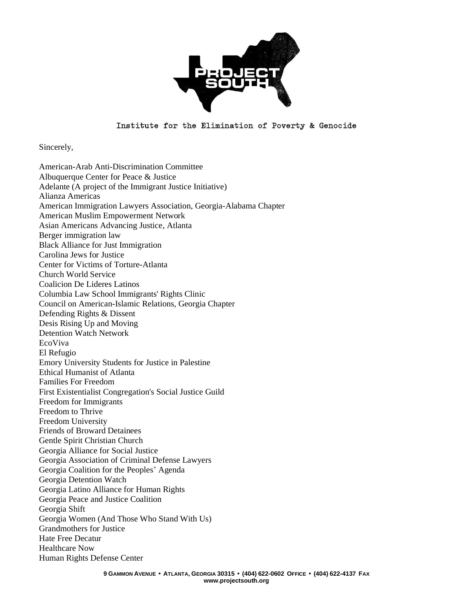

Sincerely,

American-Arab Anti-Discrimination Committee Albuquerque Center for Peace & Justice Adelante (A project of the Immigrant Justice Initiative) Alianza Americas American Immigration Lawyers Association, Georgia-Alabama Chapter American Muslim Empowerment Network Asian Americans Advancing Justice, Atlanta Berger immigration law Black Alliance for Just Immigration Carolina Jews for Justice Center for Victims of Torture-Atlanta Church World Service Coalicion De Lideres Latinos Columbia Law School Immigrants' Rights Clinic Council on American-Islamic Relations, Georgia Chapter Defending Rights & Dissent Desis Rising Up and Moving Detention Watch Network EcoViva El Refugio Emory University Students for Justice in Palestine Ethical Humanist of Atlanta Families For Freedom First Existentialist Congregation's Social Justice Guild Freedom for Immigrants Freedom to Thrive Freedom University Friends of Broward Detainees Gentle Spirit Christian Church Georgia Alliance for Social Justice Georgia Association of Criminal Defense Lawyers Georgia Coalition for the Peoples' Agenda Georgia Detention Watch Georgia Latino Alliance for Human Rights Georgia Peace and Justice Coalition Georgia Shift Georgia Women (And Those Who Stand With Us) Grandmothers for Justice Hate Free Decatur Healthcare Now Human Rights Defense Center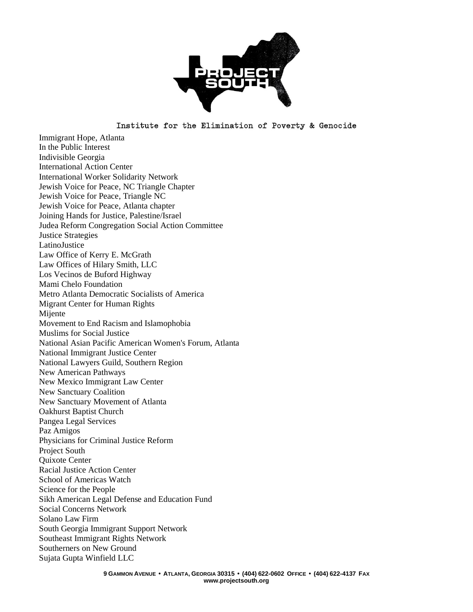

Immigrant Hope, Atlanta In the Public Interest Indivisible Georgia International Action Center International Worker Solidarity Network Jewish Voice for Peace, NC Triangle Chapter Jewish Voice for Peace, Triangle NC Jewish Voice for Peace, Atlanta chapter Joining Hands for Justice, Palestine/Israel Judea Reform Congregation Social Action Committee Justice Strategies LatinoJustice Law Office of Kerry E. McGrath Law Offices of Hilary Smith, LLC Los Vecinos de Buford Highway Mami Chelo Foundation Metro Atlanta Democratic Socialists of America Migrant Center for Human Rights Mijente Movement to End Racism and Islamophobia Muslims for Social Justice National Asian Pacific American Women's Forum, Atlanta National Immigrant Justice Center National Lawyers Guild, Southern Region New American Pathways New Mexico Immigrant Law Center New Sanctuary Coalition New Sanctuary Movement of Atlanta Oakhurst Baptist Church Pangea Legal Services Paz Amigos Physicians for Criminal Justice Reform Project South Quixote Center Racial Justice Action Center School of Americas Watch Science for the People Sikh American Legal Defense and Education Fund Social Concerns Network Solano Law Firm South Georgia Immigrant Support Network Southeast Immigrant Rights Network Southerners on New Ground Sujata Gupta Winfield LLC